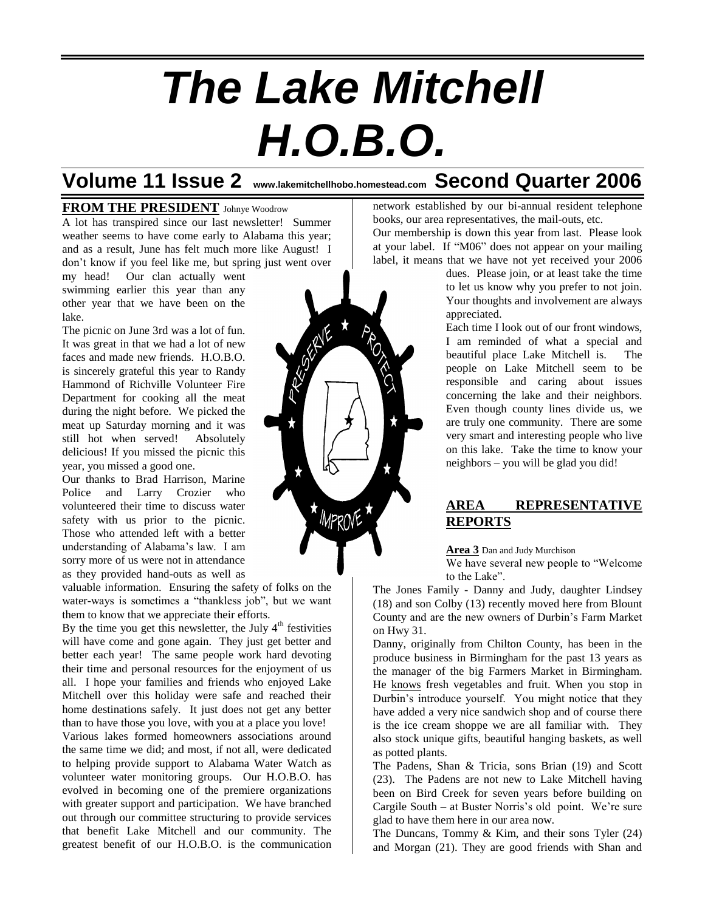# *The Lake Mitchell H.O.B.O.*

## **Volume 11 Issue 2 www.lakemitchellhobo.homestead.com Second Quarter 2006**

## **FROM THE PRESIDENT** Johnye Woodrow

A lot has transpired since our last newsletter! Summer weather seems to have come early to Alabama this year; and as a result, June has felt much more like August! I don't know if you feel like me, but spring just went over

my head! Our clan actually went swimming earlier this year than any other year that we have been on the lake.

The picnic on June 3rd was a lot of fun. It was great in that we had a lot of new faces and made new friends. H.O.B.O. is sincerely grateful this year to Randy Hammond of Richville Volunteer Fire Department for cooking all the meat during the night before. We picked the meat up Saturday morning and it was still hot when served! Absolutely delicious! If you missed the picnic this year, you missed a good one.

Our thanks to Brad Harrison, Marine Police and Larry Crozier who volunteered their time to discuss water safety with us prior to the picnic. Those who attended left with a better understanding of Alabama's law. I am sorry more of us were not in attendance as they provided hand-outs as well as

valuable information. Ensuring the safety of folks on the water-ways is sometimes a "thankless job", but we want them to know that we appreciate their efforts.

By the time you get this newsletter, the July  $4<sup>th</sup>$  festivities will have come and gone again. They just get better and better each year! The same people work hard devoting their time and personal resources for the enjoyment of us all. I hope your families and friends who enjoyed Lake Mitchell over this holiday were safe and reached their home destinations safely. It just does not get any better than to have those you love, with you at a place you love! Various lakes formed homeowners associations around the same time we did; and most, if not all, were dedicated to helping provide support to Alabama Water Watch as volunteer water monitoring groups. Our H.O.B.O. has evolved in becoming one of the premiere organizations with greater support and participation. We have branched out through our committee structuring to provide services that benefit Lake Mitchell and our community. The greatest benefit of our H.O.B.O. is the communication network established by our bi-annual resident telephone books, our area representatives, the mail-outs, etc.

Our membership is down this year from last. Please look at your label. If "M06" does not appear on your mailing label, it means that we have not yet received your 2006

> dues. Please join, or at least take the time to let us know why you prefer to not join. Your thoughts and involvement are always appreciated.

> Each time I look out of our front windows, I am reminded of what a special and beautiful place Lake Mitchell is. The people on Lake Mitchell seem to be responsible and caring about issues concerning the lake and their neighbors. Even though county lines divide us, we are truly one community. There are some very smart and interesting people who live on this lake. Take the time to know your neighbors – you will be glad you did!

## **AREA REPRESENTATIVE REPORTS**

**Area 3** Dan and Judy Murchison

We have several new people to "Welcome to the Lake".

The Jones Family - Danny and Judy, daughter Lindsey (18) and son Colby (13) recently moved here from Blount County and are the new owners of Durbin's Farm Market on Hwy 31.

Danny, originally from Chilton County, has been in the produce business in Birmingham for the past 13 years as the manager of the big Farmers Market in Birmingham. He knows fresh vegetables and fruit. When you stop in Durbin's introduce yourself. You might notice that they have added a very nice sandwich shop and of course there is the ice cream shoppe we are all familiar with. They also stock unique gifts, beautiful hanging baskets, as well as potted plants.

The Padens, Shan & Tricia, sons Brian (19) and Scott (23). The Padens are not new to Lake Mitchell having been on Bird Creek for seven years before building on Cargile South – at Buster Norris's old point. We're sure glad to have them here in our area now.

The Duncans, Tommy & Kim, and their sons Tyler (24) and Morgan (21). They are good friends with Shan and

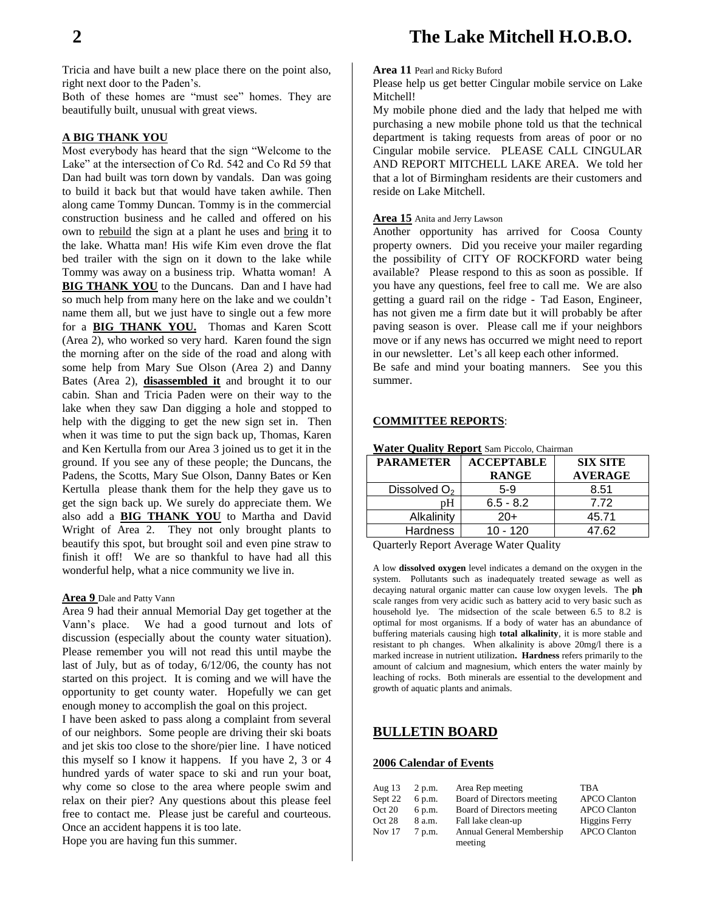Tricia and have built a new place there on the point also, right next door to the Paden's.

Both of these homes are "must see" homes. They are beautifully built, unusual with great views.

## **A BIG THANK YOU**

Most everybody has heard that the sign "Welcome to the Lake" at the intersection of Co Rd. 542 and Co Rd 59 that Dan had built was torn down by vandals. Dan was going to build it back but that would have taken awhile. Then along came Tommy Duncan. Tommy is in the commercial construction business and he called and offered on his own to rebuild the sign at a plant he uses and bring it to the lake. Whatta man! His wife Kim even drove the flat bed trailer with the sign on it down to the lake while Tommy was away on a business trip. Whatta woman! A **BIG THANK YOU** to the Duncans. Dan and I have had so much help from many here on the lake and we couldn't name them all, but we just have to single out a few more for a **BIG THANK YOU.** Thomas and Karen Scott (Area 2), who worked so very hard. Karen found the sign the morning after on the side of the road and along with some help from Mary Sue Olson (Area 2) and Danny Bates (Area 2), **disassembled it** and brought it to our cabin. Shan and Tricia Paden were on their way to the lake when they saw Dan digging a hole and stopped to help with the digging to get the new sign set in. Then when it was time to put the sign back up, Thomas, Karen and Ken Kertulla from our Area 3 joined us to get it in the ground. If you see any of these people; the Duncans, the Padens, the Scotts, Mary Sue Olson, Danny Bates or Ken Kertulla please thank them for the help they gave us to get the sign back up. We surely do appreciate them. We also add a **BIG THANK YOU** to Martha and David Wright of Area 2. They not only brought plants to beautify this spot, but brought soil and even pine straw to finish it off! We are so thankful to have had all this wonderful help, what a nice community we live in.

### **Area 9** Dale and Patty Vann

Area 9 had their annual Memorial Day get together at the Vann's place. We had a good turnout and lots of discussion (especially about the county water situation). Please remember you will not read this until maybe the last of July, but as of today, 6/12/06, the county has not started on this project. It is coming and we will have the opportunity to get county water. Hopefully we can get enough money to accomplish the goal on this project.

I have been asked to pass along a complaint from several of our neighbors. Some people are driving their ski boats and jet skis too close to the shore/pier line. I have noticed this myself so I know it happens. If you have 2, 3 or 4 hundred yards of water space to ski and run your boat, why come so close to the area where people swim and relax on their pier? Any questions about this please feel free to contact me. Please just be careful and courteous. Once an accident happens it is too late.

Hope you are having fun this summer.

## **Area 11** Pearl and Ricky Buford

Please help us get better Cingular mobile service on Lake Mitchell!

My mobile phone died and the lady that helped me with purchasing a new mobile phone told us that the technical department is taking requests from areas of poor or no Cingular mobile service. PLEASE CALL CINGULAR AND REPORT MITCHELL LAKE AREA. We told her that a lot of Birmingham residents are their customers and reside on Lake Mitchell.

## **Area 15** Anita and Jerry Lawson

Another opportunity has arrived for Coosa County property owners. Did you receive your mailer regarding the possibility of CITY OF ROCKFORD water being available? Please respond to this as soon as possible. If you have any questions, feel free to call me. We are also getting a guard rail on the ridge - Tad Eason, Engineer, has not given me a firm date but it will probably be after paving season is over. Please call me if your neighbors move or if any news has occurred we might need to report in our newsletter. Let's all keep each other informed.

Be safe and mind your boating manners. See you this summer.

## **COMMITTEE REPORTS**:

| Water Quality Report Sam Piccolo, Chairman |                   |                 |  |  |
|--------------------------------------------|-------------------|-----------------|--|--|
| <b>PARAMETER</b>                           | <b>ACCEPTABLE</b> | <b>SIX SITE</b> |  |  |
|                                            | <b>RANGE</b>      | <b>AVERAGE</b>  |  |  |
| Dissolved $O2$                             | $5-9$             | 8.51            |  |  |
| pΗ                                         | $6.5 - 8.2$       | 7.72            |  |  |
| Alkalinity                                 | $20+$             | 45.71           |  |  |
| <b>Hardness</b>                            | $10 - 120$        | 47.62           |  |  |

Quarterly Report Average Water Quality

A low **dissolved oxygen** level indicates a demand on the oxygen in the system. Pollutants such as inadequately treated sewage as well as decaying natural organic matter can cause low oxygen levels. The **ph** scale ranges from very acidic such as battery acid to very basic such as household lye. The midsection of the scale between 6.5 to 8.2 is optimal for most organisms. If a body of water has an abundance of buffering materials causing high **total alkalinity**, it is more stable and resistant to ph changes. When alkalinity is above 20mg/l there is a marked increase in nutrient utilization**. Hardness** refers primarily to the amount of calcium and magnesium, which enters the water mainly by leaching of rocks. Both minerals are essential to the development and growth of aquatic plants and animals.

## **BULLETIN BOARD**

## **2006 Calendar of Events**

| Aug 13  | 2 p.m. | Area Rep meeting           | <b>TBA</b>           |
|---------|--------|----------------------------|----------------------|
| Sept 22 | 6 p.m. | Board of Directors meeting | <b>APCO Clanton</b>  |
| Oct 20  | 6 p.m. | Board of Directors meeting | <b>APCO Clanton</b>  |
| Oct 28  | 8 a.m. | Fall lake clean-up         | <b>Higgins Ferry</b> |
| Nov 17  | 7 p.m. | Annual General Membership  | <b>APCO Clanton</b>  |
|         |        | meeting                    |                      |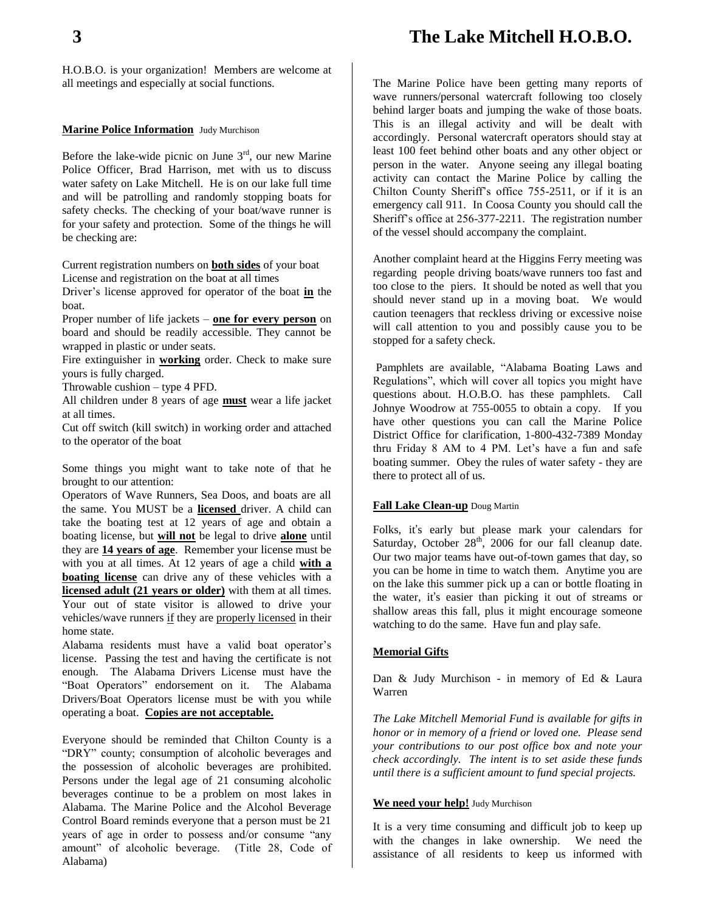## **3 The Lake Mitchell H.O.B.O.**

H.O.B.O. is your organization! Members are welcome at all meetings and especially at social functions.

## **Marine Police Information** Judy Murchison

Before the lake-wide picnic on June  $3<sup>rd</sup>$ , our new Marine Police Officer, Brad Harrison, met with us to discuss water safety on Lake Mitchell. He is on our lake full time and will be patrolling and randomly stopping boats for safety checks. The checking of your boat/wave runner is for your safety and protection. Some of the things he will be checking are:

Current registration numbers on **both sides** of your boat License and registration on the boat at all times

Driver's license approved for operator of the boat **in** the boat.

Proper number of life jackets – **one for every person** on board and should be readily accessible. They cannot be wrapped in plastic or under seats.

Fire extinguisher in **working** order. Check to make sure yours is fully charged.

Throwable cushion – type 4 PFD.

All children under 8 years of age **must** wear a life jacket at all times.

Cut off switch (kill switch) in working order and attached to the operator of the boat

Some things you might want to take note of that he brought to our attention:

Operators of Wave Runners, Sea Doos, and boats are all the same. You MUST be a **licensed** driver. A child can take the boating test at 12 years of age and obtain a boating license, but **will not** be legal to drive **alone** until they are **14 years of age**. Remember your license must be with you at all times. At 12 years of age a child **with a boating license** can drive any of these vehicles with a **licensed adult (21 years or older)** with them at all times. Your out of state visitor is allowed to drive your vehicles/wave runners if they are properly licensed in their home state.

Alabama residents must have a valid boat operator's license. Passing the test and having the certificate is not enough. The Alabama Drivers License must have the "Boat Operators" endorsement on it. The Alabama Drivers/Boat Operators license must be with you while operating a boat. **Copies are not acceptable.**

Everyone should be reminded that Chilton County is a "DRY" county; consumption of alcoholic beverages and the possession of alcoholic beverages are prohibited. Persons under the legal age of 21 consuming alcoholic beverages continue to be a problem on most lakes in Alabama. The Marine Police and the Alcohol Beverage Control Board reminds everyone that a person must be 21 years of age in order to possess and/or consume "any amount" of alcoholic beverage. (Title 28, Code of Alabama)

The Marine Police have been getting many reports of wave runners/personal watercraft following too closely behind larger boats and jumping the wake of those boats. This is an illegal activity and will be dealt with accordingly. Personal watercraft operators should stay at least 100 feet behind other boats and any other object or person in the water. Anyone seeing any illegal boating activity can contact the Marine Police by calling the Chilton County Sheriff's office 755-2511, or if it is an emergency call 911. In Coosa County you should call the Sheriff's office at 256-377-2211. The registration number of the vessel should accompany the complaint.

Another complaint heard at the Higgins Ferry meeting was regarding people driving boats/wave runners too fast and too close to the piers. It should be noted as well that you should never stand up in a moving boat. We would caution teenagers that reckless driving or excessive noise will call attention to you and possibly cause you to be stopped for a safety check.

Pamphlets are available, "Alabama Boating Laws and Regulations", which will cover all topics you might have questions about. H.O.B.O. has these pamphlets. Call Johnye Woodrow at 755-0055 to obtain a copy. If you have other questions you can call the Marine Police District Office for clarification, 1-800-432-7389 Monday thru Friday 8 AM to 4 PM. Let's have a fun and safe boating summer. Obey the rules of water safety - they are there to protect all of us.

## **Fall Lake Clean-up** Doug Martin

Folks, it's early but please mark your calendars for Saturday, October 28<sup>th</sup>, 2006 for our fall cleanup date. Our two major teams have out-of-town games that day, so you can be home in time to watch them. Anytime you are on the lake this summer pick up a can or bottle floating in the water, it's easier than picking it out of streams or shallow areas this fall, plus it might encourage someone watching to do the same. Have fun and play safe.

## **Memorial Gifts**

Dan & Judy Murchison - in memory of Ed & Laura Warren

*The Lake Mitchell Memorial Fund is available for gifts in honor or in memory of a friend or loved one. Please send your contributions to our post office box and note your check accordingly. The intent is to set aside these funds until there is a sufficient amount to fund special projects.*

### **We need your help!** Judy Murchison

It is a very time consuming and difficult job to keep up with the changes in lake ownership. We need the assistance of all residents to keep us informed with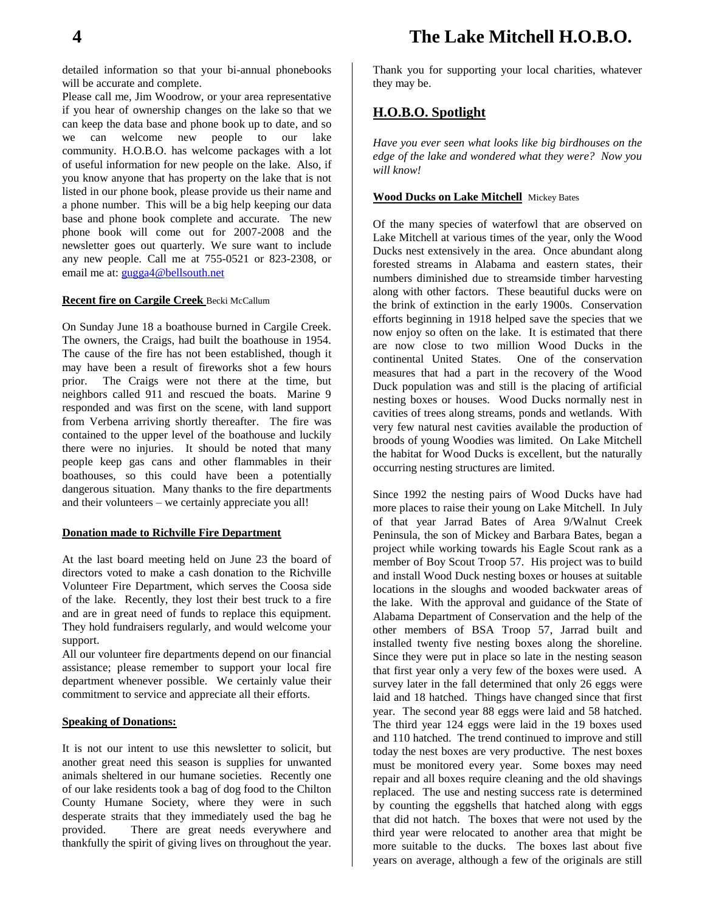detailed information so that your bi-annual phonebooks will be accurate and complete.

Please call me, Jim Woodrow, or your area representative if you hear of ownership changes on the lake so that we can keep the data base and phone book up to date, and so we can welcome new people to our lake community. H.O.B.O. has welcome packages with a lot of useful information for new people on the lake. Also, if you know anyone that has property on the lake that is not listed in our phone book, please provide us their name and a phone number. This will be a big help keeping our data base and phone book complete and accurate. The new phone book will come out for 2007-2008 and the newsletter goes out quarterly. We sure want to include any new people. Call me at 755-0521 or 823-2308, or email me at: [gugga4@bellsouth.net](mailto:gugga4@bellsouth.net)

## **Recent fire on Cargile Creek** Becki McCallum

On Sunday June 18 a boathouse burned in Cargile Creek. The owners, the Craigs, had built the boathouse in 1954. The cause of the fire has not been established, though it may have been a result of fireworks shot a few hours prior. The Craigs were not there at the time, but neighbors called 911 and rescued the boats. Marine 9 responded and was first on the scene, with land support from Verbena arriving shortly thereafter. The fire was contained to the upper level of the boathouse and luckily there were no injuries. It should be noted that many people keep gas cans and other flammables in their boathouses, so this could have been a potentially dangerous situation. Many thanks to the fire departments and their volunteers – we certainly appreciate you all!

## **Donation made to Richville Fire Department**

At the last board meeting held on June 23 the board of directors voted to make a cash donation to the Richville Volunteer Fire Department, which serves the Coosa side of the lake. Recently, they lost their best truck to a fire and are in great need of funds to replace this equipment. They hold fundraisers regularly, and would welcome your support.

All our volunteer fire departments depend on our financial assistance; please remember to support your local fire department whenever possible. We certainly value their commitment to service and appreciate all their efforts.

## **Speaking of Donations:**

It is not our intent to use this newsletter to solicit, but another great need this season is supplies for unwanted animals sheltered in our humane societies. Recently one of our lake residents took a bag of dog food to the Chilton County Humane Society, where they were in such desperate straits that they immediately used the bag he provided. There are great needs everywhere and thankfully the spirit of giving lives on throughout the year. Thank you for supporting your local charities, whatever they may be.

## **H.O.B.O. Spotlight**

*Have you ever seen what looks like big birdhouses on the edge of the lake and wondered what they were? Now you will know!*

## **Wood Ducks on Lake Mitchell** Mickey Bates

Of the many species of waterfowl that are observed on Lake Mitchell at various times of the year, only the Wood Ducks nest extensively in the area. Once abundant along forested streams in Alabama and eastern states, their numbers diminished due to streamside timber harvesting along with other factors. These beautiful ducks were on the brink of extinction in the early 1900s. Conservation efforts beginning in 1918 helped save the species that we now enjoy so often on the lake. It is estimated that there are now close to two million Wood Ducks in the continental United States. One of the conservation measures that had a part in the recovery of the Wood Duck population was and still is the placing of artificial nesting boxes or houses. Wood Ducks normally nest in cavities of trees along streams, ponds and wetlands. With very few natural nest cavities available the production of broods of young Woodies was limited. On Lake Mitchell the habitat for Wood Ducks is excellent, but the naturally occurring nesting structures are limited.

Since 1992 the nesting pairs of Wood Ducks have had more places to raise their young on Lake Mitchell. In July of that year Jarrad Bates of Area 9/Walnut Creek Peninsula, the son of Mickey and Barbara Bates, began a project while working towards his Eagle Scout rank as a member of Boy Scout Troop 57. His project was to build and install Wood Duck nesting boxes or houses at suitable locations in the sloughs and wooded backwater areas of the lake. With the approval and guidance of the State of Alabama Department of Conservation and the help of the other members of BSA Troop 57, Jarrad built and installed twenty five nesting boxes along the shoreline. Since they were put in place so late in the nesting season that first year only a very few of the boxes were used. A survey later in the fall determined that only 26 eggs were laid and 18 hatched. Things have changed since that first year. The second year 88 eggs were laid and 58 hatched. The third year 124 eggs were laid in the 19 boxes used and 110 hatched. The trend continued to improve and still today the nest boxes are very productive. The nest boxes must be monitored every year. Some boxes may need repair and all boxes require cleaning and the old shavings replaced. The use and nesting success rate is determined by counting the eggshells that hatched along with eggs that did not hatch. The boxes that were not used by the third year were relocated to another area that might be more suitable to the ducks. The boxes last about five years on average, although a few of the originals are still